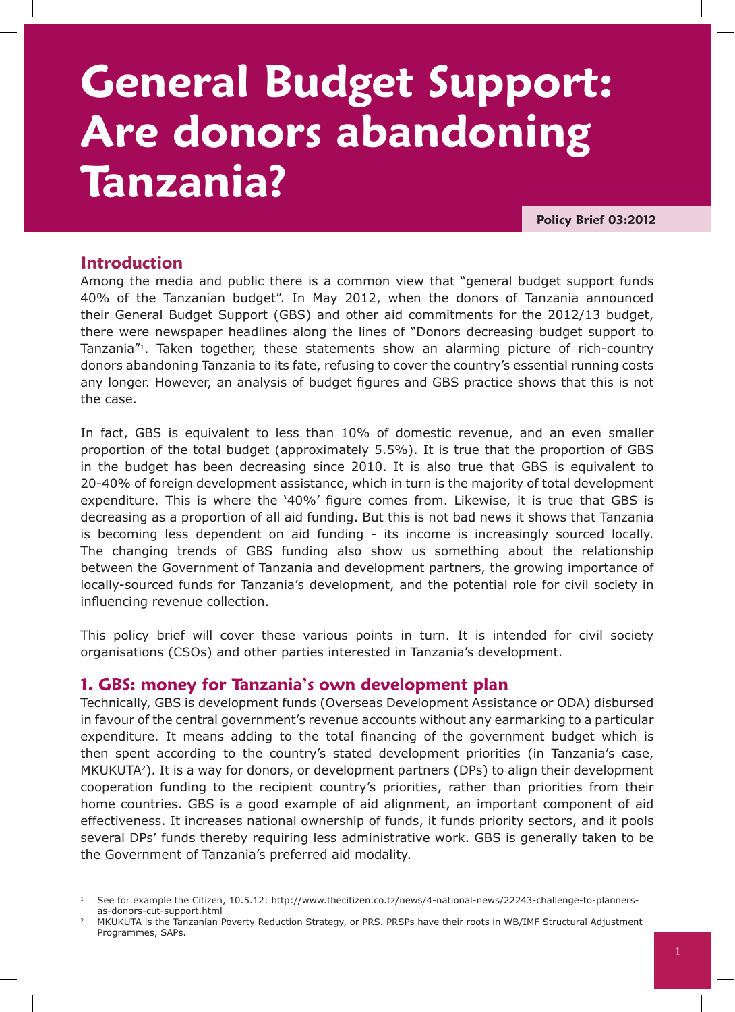# **General Budget Support: Are donors abandoning Tanzania?**

**Policy Brief 03:2012**

### **Introduction**

Among the media and public there is a common view that "general budget support funds 40% of the Tanzanian budget". In May 2012, when the donors of Tanzania announced their General Budget Support (GBS) and other aid commitments for the 2012/13 budget, there were newspaper headlines along the lines of "Donors decreasing budget support to Tanzania"1. Taken together, these statements show an alarming picture of rich-country donors abandoning Tanzania to its fate, refusing to cover the country's essential running costs any longer. However, an analysis of budget figures and GBS practice shows that this is not the case.

In fact, GBS is equivalent to less than 10% of domestic revenue, and an even smaller proportion of the total budget (approximately 5.5%). It is true that the proportion of GBS in the budget has been decreasing since 2010. It is also true that GBS is equivalent to 20-40% of foreign development assistance, which in turn is the majority of total development expenditure. This is where the '40%' figure comes from. Likewise, it is true that GBS is decreasing as a proportion of all aid funding. But this is not bad news it shows that Tanzania is becoming less dependent on aid funding - its income is increasingly sourced locally. The changing trends of GBS funding also show us something about the relationship between the Government of Tanzania and development partners, the growing importance of locally-sourced funds for Tanzania's development, and the potential role for civil society in influencing revenue collection.

This policy brief will cover these various points in turn. It is intended for civil society organisations (CSOs) and other parties interested in Tanzania's development.

#### **1. GBS: money for Tanzania's own development plan**

Technically, GBS is development funds (Overseas Development Assistance or ODA) disbursed in favour of the central government's revenue accounts without any earmarking to a particular expenditure. It means adding to the total financing of the government budget which is then spent according to the country's stated development priorities (in Tanzania's case, MKUKUTA<sup>2</sup>). It is a way for donors, or development partners (DPs) to align their development cooperation funding to the recipient country's priorities, rather than priorities from their home countries. GBS is a good example of aid alignment, an important component of aid effectiveness. It increases national ownership of funds, it funds priority sectors, and it pools several DPs' funds thereby requiring less administrative work. GBS is generally taken to be the Government of Tanzania's preferred aid modality.

See for example the Citizen, 10.5.12: http://www.thecitizen.co.tz/news/4-national-news/22243-challenge-to-plannersas-donors-cut-support.html

<sup>2</sup> MKUKUTA is the Tanzanian Poverty Reduction Strategy, or PRS. PRSPs have their roots in WB/IMF Structural Adjustment Programmes, SAPs.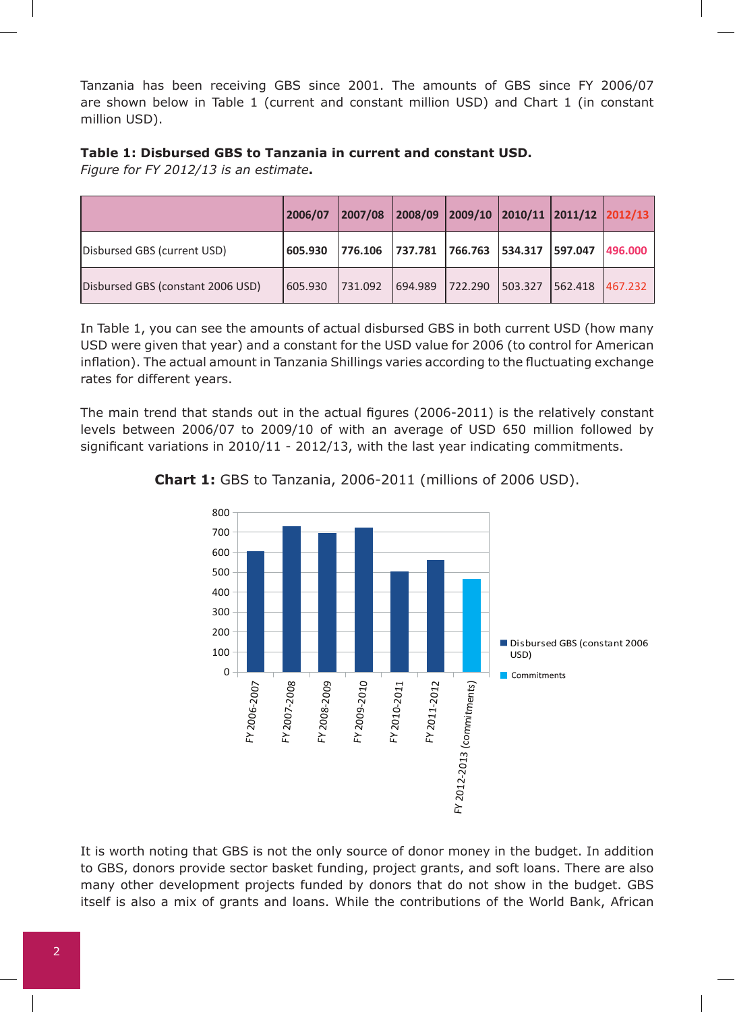Tanzania has been receiving GBS since 2001. The amounts of GBS since FY 2006/07 are shown below in Table 1 (current and constant million USD) and Chart 1 (in constant million USD).

#### **Table 1: Disbursed GBS to Tanzania in current and constant USD.**

*Figure for FY 2012/13 is an estimate***.** 

|                                   | 2006/07 | 2007/08 | $ 2008/09 2009/10 2010/11 2011/12 2012/13 $ |         |         |         |          |
|-----------------------------------|---------|---------|---------------------------------------------|---------|---------|---------|----------|
| Disbursed GBS (current USD)       | 605.930 | 776.106 | 737.781 766.763 534.317 597.047             |         |         |         | 1496.000 |
| Disbursed GBS (constant 2006 USD) | 605.930 | 731.092 | 694.989                                     | 722.290 | 503.327 | 562.418 | 467.232  |

In Table 1, you can see the amounts of actual disbursed GBS in both current USD (how many USD were given that year) and a constant for the USD value for 2006 (to control for American inflation). The actual amount in Tanzania Shillings varies according to the fluctuating exchange rates for different years.

The main trend that stands out in the actual figures (2006-2011) is the relatively constant levels between 2006/07 to 2009/10 of with an average of USD 650 million followed by significant variations in 2010/11 - 2012/13, with the last year indicating commitments.



**Chart 1:** GBS to Tanzania, 2006-2011 (millions of 2006 USD).

It is worth noting that GBS is not the only source of donor money in the budget. In addition to GBS, donors provide sector basket funding, project grants, and soft loans. There are also many other development projects funded by donors that do not show in the budget. GBS itself is also a mix of grants and loans. While the contributions of the World Bank, African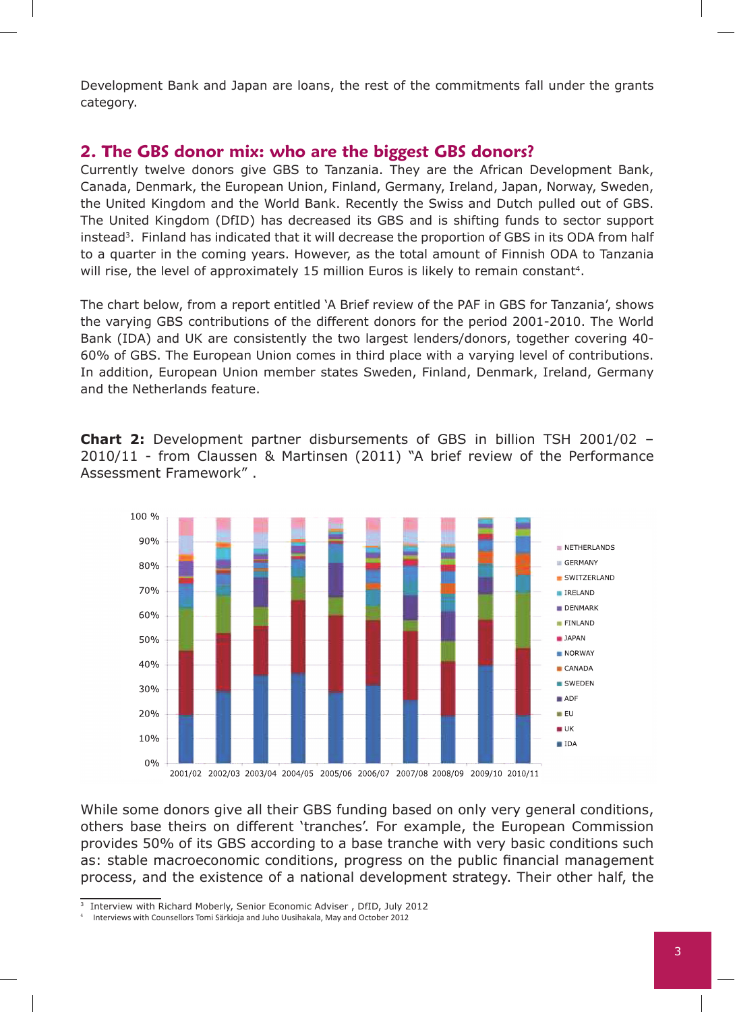Development Bank and Japan are loans, the rest of the commitments fall under the grants category.

#### **2. The GBS donor mix: who are the biggest GBS donors?**

Currently twelve donors give GBS to Tanzania. They are the African Development Bank, Canada, Denmark, the European Union, Finland, Germany, Ireland, Japan, Norway, Sweden, the United Kingdom and the World Bank. Recently the Swiss and Dutch pulled out of GBS. The United Kingdom (DfID) has decreased its GBS and is shifting funds to sector support instead<sup>3</sup>. Finland has indicated that it will decrease the proportion of GBS in its ODA from half to a quarter in the coming years. However, as the total amount of Finnish ODA to Tanzania will rise, the level of approximately 15 million Euros is likely to remain constant<sup>4</sup>.

The chart below, from a report entitled 'A Brief review of the PAF in GBS for Tanzania', shows the varying GBS contributions of the different donors for the period 2001-2010. The World Bank (IDA) and UK are consistently the two largest lenders/donors, together covering 40- 60% of GBS. The European Union comes in third place with a varying level of contributions. In addition, European Union member states Sweden, Finland, Denmark, Ireland, Germany and the Netherlands feature.

**Chart 2:** Development partner disbursements of GBS in billion TSH 2001/02 – 2010/11 - from Claussen & Martinsen (2011) "A brief review of the Performance Assessment Framework" .



While some donors give all their GBS funding based on only very general conditions, others base theirs on different 'tranches'. For example, the European Commission provides 50% of its GBS according to a base tranche with very basic conditions such as: stable macroeconomic conditions, progress on the public financial management process, and the existence of a national development strategy. Their other half, the

<sup>&</sup>lt;sup>3</sup> Interview with Richard Moberly, Senior Economic Adviser, DfID, July 2012

<sup>4</sup> Interviews with Counsellors Tomi Särkioja and Juho Uusihakala, May and October 2012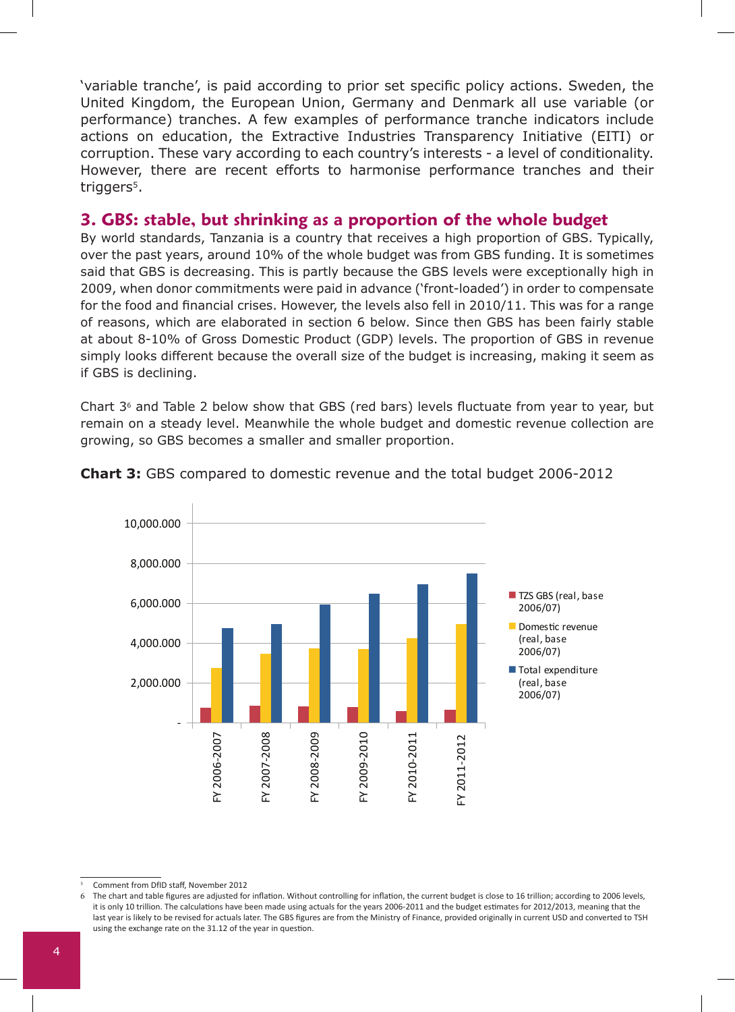'variable tranche', is paid according to prior set specific policy actions. Sweden, the United Kingdom, the European Union, Germany and Denmark all use variable (or performance) tranches. A few examples of performance tranche indicators include actions on education, the Extractive Industries Transparency Initiative (EITI) or corruption. These vary according to each country's interests - a level of conditionality. However, there are recent efforts to harmonise performance tranches and their triggers<sup>5</sup>.

## **3. GBS: stable, but shrinking as a proportion of the whole budget**

By world standards, Tanzania is a country that receives a high proportion of GBS. Typically, over the past years, around 10% of the whole budget was from GBS funding. It is sometimes said that GBS is decreasing. This is partly because the GBS levels were exceptionally high in 2009, when donor commitments were paid in advance ('front-loaded') in order to compensate for the food and financial crises. However, the levels also fell in 2010/11. This was for a range of reasons, which are elaborated in section 6 below. Since then GBS has been fairly stable at about 8-10% of Gross Domestic Product (GDP) levels. The proportion of GBS in revenue simply looks different because the overall size of the budget is increasing, making it seem as if GBS is declining.

Chart 36 and Table 2 below show that GBS (red bars) levels fluctuate from year to year, but remain on a steady level. Meanwhile the whole budget and domestic revenue collection are growing, so GBS becomes a smaller and smaller proportion.



#### **Chart 3:** GBS compared to domestic revenue and the total budget 2006-2012

The chart and table figures are adjusted for inflation. Without controlling for inflation, the current budget is close to 16 trillion; according to 2006 levels, it is only 10 trillion. The calculations have been made using actuals for the years 2006-2011 and the budget estimates for 2012/2013, meaning that the last year is likely to be revised for actuals later. The GBS figures are from the Ministry of Finance, provided originally in current USD and converted to TSH using the exchange rate on the 31.12 of the year in question.

<sup>5</sup> Comment from DfID staff, November 2012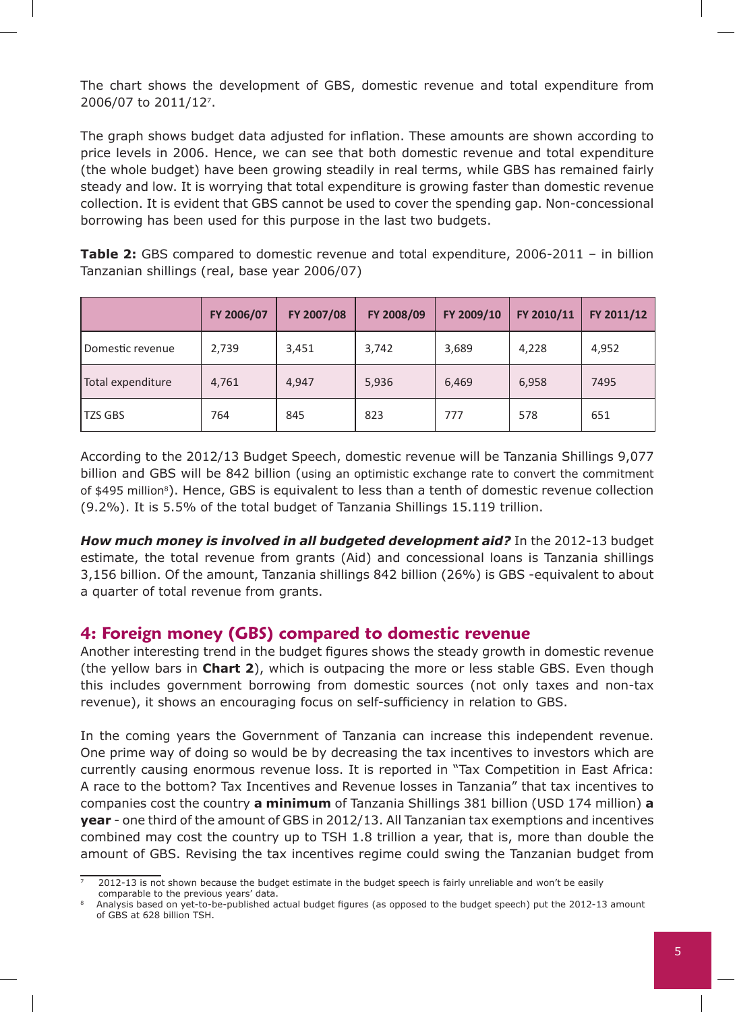The chart shows the development of GBS, domestic revenue and total expenditure from 2006/07 to 2011/127.

The graph shows budget data adjusted for inflation. These amounts are shown according to price levels in 2006. Hence, we can see that both domestic revenue and total expenditure (the whole budget) have been growing steadily in real terms, while GBS has remained fairly steady and low. It is worrying that total expenditure is growing faster than domestic revenue collection. It is evident that GBS cannot be used to cover the spending gap. Non-concessional borrowing has been used for this purpose in the last two budgets.

**Table 2:** GBS compared to domestic revenue and total expenditure, 2006-2011 – in billion Tanzanian shillings (real, base year 2006/07)

|                   | FY 2006/07 | FY 2007/08 | FY 2008/09 | FY 2009/10 | FY 2010/11 | FY 2011/12 |
|-------------------|------------|------------|------------|------------|------------|------------|
| Domestic revenue  | 2,739      | 3,451      | 3,742      | 3,689      | 4,228      | 4,952      |
| Total expenditure | 4,761      | 4,947      | 5,936      | 6,469      | 6,958      | 7495       |
| <b>TZS GBS</b>    | 764        | 845        | 823        | 777        | 578        | 651        |

According to the 2012/13 Budget Speech, domestic revenue will be Tanzania Shillings 9,077 billion and GBS will be 842 billion (using an optimistic exchange rate to convert the commitment of \$495 million<sup>8</sup>). Hence, GBS is equivalent to less than a tenth of domestic revenue collection (9.2%). It is 5.5% of the total budget of Tanzania Shillings 15.119 trillion.

*How much money is involved in all budgeted development aid?* In the 2012-13 budget estimate, the total revenue from grants (Aid) and concessional loans is Tanzania shillings 3,156 billion. Of the amount, Tanzania shillings 842 billion (26%) is GBS -equivalent to about a quarter of total revenue from grants.

#### **4: Foreign money (GBS) compared to domestic revenue**

Another interesting trend in the budget figures shows the steady growth in domestic revenue (the yellow bars in **Chart 2**), which is outpacing the more or less stable GBS. Even though this includes government borrowing from domestic sources (not only taxes and non-tax revenue), it shows an encouraging focus on self-sufficiency in relation to GBS.

In the coming years the Government of Tanzania can increase this independent revenue. One prime way of doing so would be by decreasing the tax incentives to investors which are currently causing enormous revenue loss. It is reported in "Tax Competition in East Africa: A race to the bottom? Tax Incentives and Revenue losses in Tanzania" that tax incentives to companies cost the country **a minimum** of Tanzania Shillings 381 billion (USD 174 million) **a year** - one third of the amount of GBS in 2012/13. All Tanzanian tax exemptions and incentives combined may cost the country up to TSH 1.8 trillion a year, that is, more than double the amount of GBS. Revising the tax incentives regime could swing the Tanzanian budget from

<sup>7 2012-13</sup> is not shown because the budget estimate in the budget speech is fairly unreliable and won't be easily comparable to the previous years' data.<br>Analysis based on yet-to-be-published actual budget figures (as opposed to the budget speech) put the 2012-13 amount

of GBS at 628 billion TSH.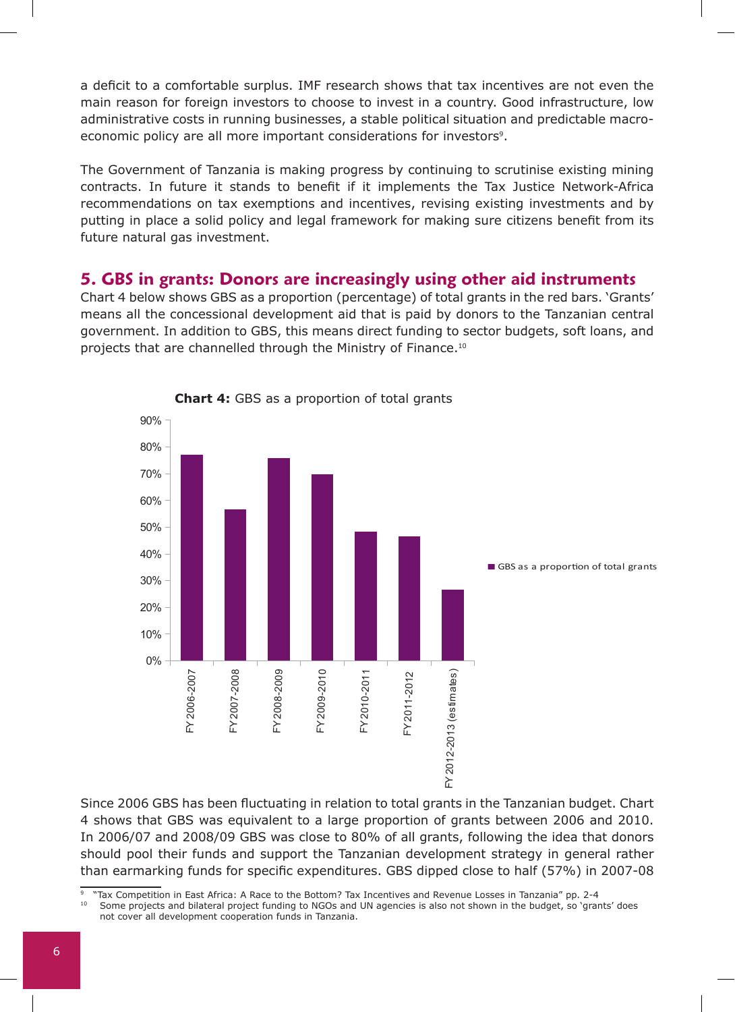a deficit to a comfortable surplus. IMF research shows that tax incentives are not even the main reason for foreign investors to choose to invest in a country. Good infrastructure, low administrative costs in running businesses, a stable political situation and predictable macroeconomic policy are all more important considerations for investors<sup>9</sup>.

The Government of Tanzania is making progress by continuing to scrutinise existing mining contracts. In future it stands to benefit if it implements the Tax Justice Network-Africa recommendations on tax exemptions and incentives, revising existing investments and by putting in place a solid policy and legal framework for making sure citizens benefit from its future natural gas investment.

#### **5. GBS in grants: Donors are increasingly using other aid instruments**

Chart 4 below shows GBS as a proportion (percentage) of total grants in the red bars. 'Grants' means all the concessional development aid that is paid by donors to the Tanzanian central government. In addition to GBS, this means direct funding to sector budgets, soft loans, and projects that are channelled through the Ministry of Finance.10





Since 2006 GBS has been fluctuating in relation to total grants in the Tanzanian budget. Chart 4 shows that GBS was equivalent to a large proportion of grants between 2006 and 2010. In 2006/07 and 2008/09 GBS was close to 80% of all grants, following the idea that donors should pool their funds and support the Tanzanian development strategy in general rather than earmarking funds for specific expenditures. GBS dipped close to half (57%) in 2007-08

10 Some projects and bilateral project funding to NGOs and UN agencies is also not shown in the budget, so 'grants' does not cover all development cooperation funds in Tanzania.

<sup>&</sup>lt;sup>9</sup> "Tax Competition in East Africa: A Race to the Bottom? Tax Incentives and Revenue Losses in Tanzania" pp. 2-4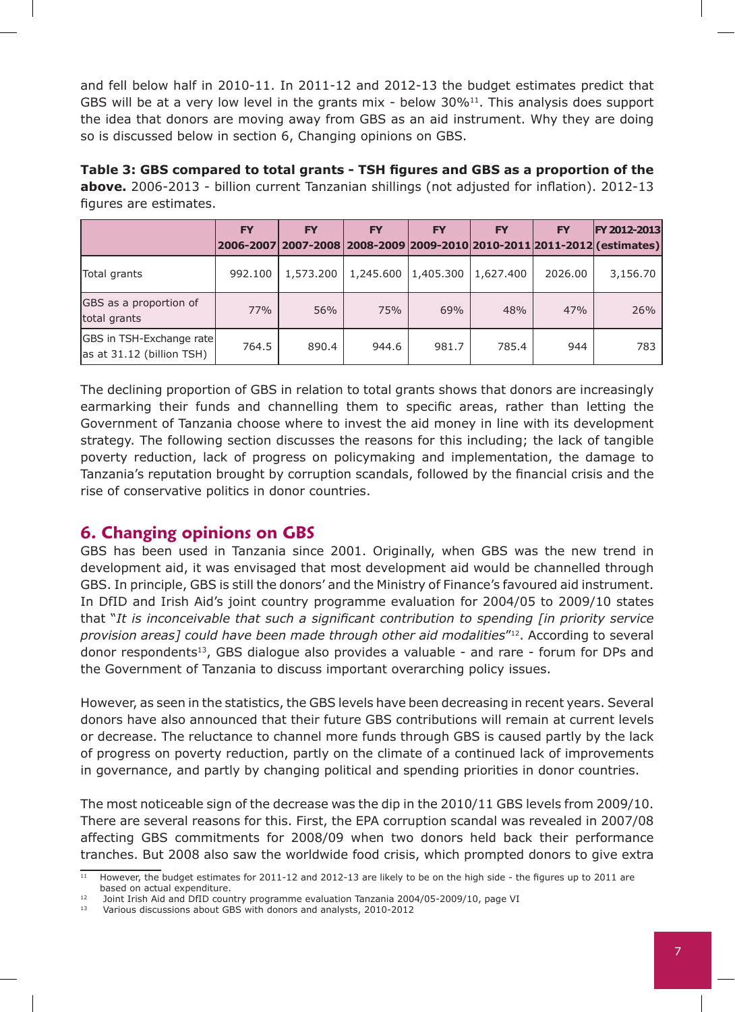and fell below half in 2010-11. In 2011-12 and 2012-13 the budget estimates predict that GBS will be at a very low level in the grants mix - below  $30\%$ <sup>11</sup>. This analysis does support the idea that donors are moving away from GBS as an aid instrument. Why they are doing so is discussed below in section 6, Changing opinions on GBS.

**Table 3: GBS compared to total grants - TSH figures and GBS as a proportion of the above.** 2006-2013 - billion current Tanzanian shillings (not adjusted for inflation). 2012-13 figures are estimates.

|                                                               | <b>FY</b>  | <b>FY</b> | <b>FY</b> | <b>FY</b> | <b>FY</b> | <b>FY</b> | <b>FY 2012-2013</b><br> 2006-2007 2007-2008 2008-2009 2009-2010 2010-2011 2011-2012 (estimates) |
|---------------------------------------------------------------|------------|-----------|-----------|-----------|-----------|-----------|-------------------------------------------------------------------------------------------------|
| Total grants                                                  | 992.100    | 1,573,200 | 1,245.600 | 1,405.300 | 1,627,400 | 2026.00   | 3,156.70                                                                                        |
| GBS as a proportion of<br>total grants                        | <b>77%</b> | 56%       | 75%       | 69%       | 48%       | 47%       | 26%                                                                                             |
| GBS in TSH-Exchange rate<br>$\vert$ as at 31.12 (billion TSH) | 764.5      | 890.4     | 944.6     | 981.7     | 785.4     | 944       | 783                                                                                             |

The declining proportion of GBS in relation to total grants shows that donors are increasingly earmarking their funds and channelling them to specific areas, rather than letting the Government of Tanzania choose where to invest the aid money in line with its development strategy. The following section discusses the reasons for this including; the lack of tangible poverty reduction, lack of progress on policymaking and implementation, the damage to Tanzania's reputation brought by corruption scandals, followed by the financial crisis and the rise of conservative politics in donor countries.

## **6. Changing opinions on GBS**

GBS has been used in Tanzania since 2001. Originally, when GBS was the new trend in development aid, it was envisaged that most development aid would be channelled through GBS. In principle, GBS is still the donors' and the Ministry of Finance's favoured aid instrument. In DfID and Irish Aid's joint country programme evaluation for 2004/05 to 2009/10 states that "*It is inconceivable that such a significant contribution to spending [in priority service provision areas] could have been made through other aid modalities*"12. According to several donor respondents<sup>13</sup>, GBS dialogue also provides a valuable - and rare - forum for DPs and the Government of Tanzania to discuss important overarching policy issues.

However, as seen in the statistics, the GBS levels have been decreasing in recent years. Several donors have also announced that their future GBS contributions will remain at current levels or decrease. The reluctance to channel more funds through GBS is caused partly by the lack of progress on poverty reduction, partly on the climate of a continued lack of improvements in governance, and partly by changing political and spending priorities in donor countries.

The most noticeable sign of the decrease was the dip in the 2010/11 GBS levels from 2009/10. There are several reasons for this. First, the EPA corruption scandal was revealed in 2007/08 affecting GBS commitments for 2008/09 when two donors held back their performance tranches. But 2008 also saw the worldwide food crisis, which prompted donors to give extra

<sup>11</sup> However, the budget estimates for 2011-12 and 2012-13 are likely to be on the high side - the figures up to 2011 are based on actual expenditure.<br>
12 Joint Irish Aid and DfID country programme evaluation Tanzania 2004/05-2009/10, page VI<br>
13 Various discussions about CBS with donors and apply the 2010-2012

<sup>13</sup> Various discussions about GBS with donors and analysts, 2010-2012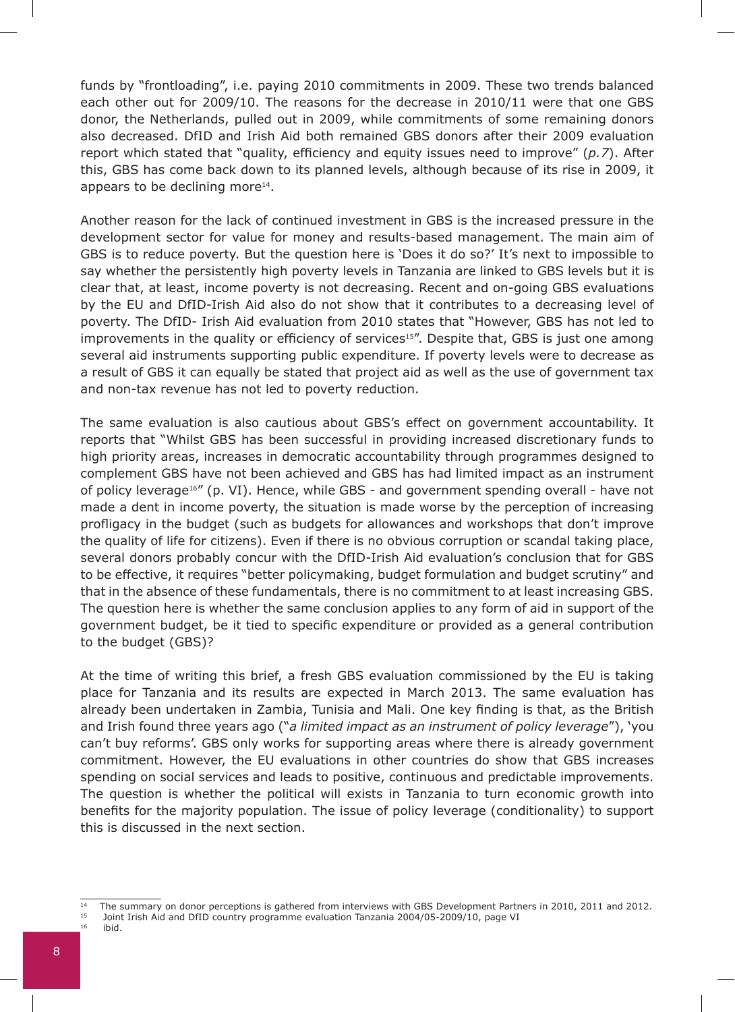funds by "frontloading", i.e. paying 2010 commitments in 2009. These two trends balanced each other out for 2009/10. The reasons for the decrease in 2010/11 were that one GBS donor, the Netherlands, pulled out in 2009, while commitments of some remaining donors also decreased. DfID and Irish Aid both remained GBS donors after their 2009 evaluation report which stated that "quality, efficiency and equity issues need to improve" (*p.7*). After this, GBS has come back down to its planned levels, although because of its rise in 2009, it appears to be declining more<sup>14</sup>.

Another reason for the lack of continued investment in GBS is the increased pressure in the development sector for value for money and results-based management. The main aim of GBS is to reduce poverty. But the question here is 'Does it do so?' It's next to impossible to say whether the persistently high poverty levels in Tanzania are linked to GBS levels but it is clear that, at least, income poverty is not decreasing. Recent and on-going GBS evaluations by the EU and DfID-Irish Aid also do not show that it contributes to a decreasing level of poverty. The DfID- Irish Aid evaluation from 2010 states that "However, GBS has not led to improvements in the quality or efficiency of services<sup>15"</sup>. Despite that, GBS is just one among several aid instruments supporting public expenditure. If poverty levels were to decrease as a result of GBS it can equally be stated that project aid as well as the use of government tax and non-tax revenue has not led to poverty reduction.

The same evaluation is also cautious about GBS's effect on government accountability. It reports that "Whilst GBS has been successful in providing increased discretionary funds to high priority areas, increases in democratic accountability through programmes designed to complement GBS have not been achieved and GBS has had limited impact as an instrument of policy leverage<sup>16"</sup> (p. VI). Hence, while GBS - and government spending overall - have not made a dent in income poverty, the situation is made worse by the perception of increasing profligacy in the budget (such as budgets for allowances and workshops that don't improve the quality of life for citizens). Even if there is no obvious corruption or scandal taking place, several donors probably concur with the DfID-Irish Aid evaluation's conclusion that for GBS to be effective, it requires "better policymaking, budget formulation and budget scrutiny" and that in the absence of these fundamentals, there is no commitment to at least increasing GBS. The question here is whether the same conclusion applies to any form of aid in support of the government budget, be it tied to specific expenditure or provided as a general contribution to the budget (GBS)?

At the time of writing this brief, a fresh GBS evaluation commissioned by the EU is taking place for Tanzania and its results are expected in March 2013. The same evaluation has already been undertaken in Zambia, Tunisia and Mali. One key finding is that, as the British and Irish found three years ago ("*a limited impact as an instrument of policy leverage*"), 'you can't buy reforms'. GBS only works for supporting areas where there is already government commitment. However, the EU evaluations in other countries do show that GBS increases spending on social services and leads to positive, continuous and predictable improvements. The question is whether the political will exists in Tanzania to turn economic growth into benefits for the majority population. The issue of policy leverage (conditionality) to support this is discussed in the next section.

 $\frac{14}{15}$  The summary on donor perceptions is gathered from interviews with GBS Development Partners in 2010, 2011 and 2012.

<sup>&</sup>lt;sup>15</sup> Joint Irish Aid and DfID country programme evaluation Tanzania 2004/05-2009/10, page VI<br><sup>16</sup> ibid 16 ibid.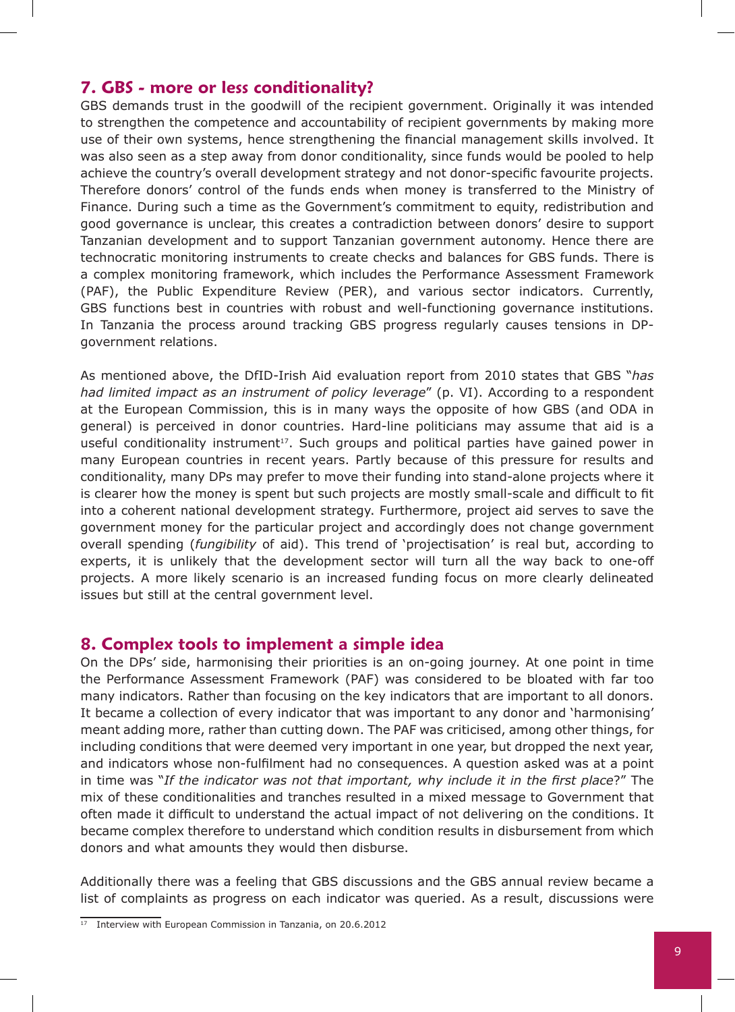#### **7. GBS - more or less conditionality?**

GBS demands trust in the goodwill of the recipient government. Originally it was intended to strengthen the competence and accountability of recipient governments by making more use of their own systems, hence strengthening the financial management skills involved. It was also seen as a step away from donor conditionality, since funds would be pooled to help achieve the country's overall development strategy and not donor-specific favourite projects. Therefore donors' control of the funds ends when money is transferred to the Ministry of Finance. During such a time as the Government's commitment to equity, redistribution and good governance is unclear, this creates a contradiction between donors' desire to support Tanzanian development and to support Tanzanian government autonomy. Hence there are technocratic monitoring instruments to create checks and balances for GBS funds. There is a complex monitoring framework, which includes the Performance Assessment Framework (PAF), the Public Expenditure Review (PER), and various sector indicators. Currently, GBS functions best in countries with robust and well-functioning governance institutions. In Tanzania the process around tracking GBS progress regularly causes tensions in DPgovernment relations.

As mentioned above, the DfID-Irish Aid evaluation report from 2010 states that GBS "*has had limited impact as an instrument of policy leverage*" (p. VI). According to a respondent at the European Commission, this is in many ways the opposite of how GBS (and ODA in general) is perceived in donor countries. Hard-line politicians may assume that aid is a useful conditionality instrument<sup>17</sup>. Such groups and political parties have gained power in many European countries in recent years. Partly because of this pressure for results and conditionality, many DPs may prefer to move their funding into stand-alone projects where it is clearer how the money is spent but such projects are mostly small-scale and difficult to fit into a coherent national development strategy. Furthermore, project aid serves to save the government money for the particular project and accordingly does not change government overall spending (*fungibility* of aid). This trend of 'projectisation' is real but, according to experts, it is unlikely that the development sector will turn all the way back to one-off projects. A more likely scenario is an increased funding focus on more clearly delineated issues but still at the central government level.

#### **8. Complex tools to implement a simple idea**

On the DPs' side, harmonising their priorities is an on-going journey. At one point in time the Performance Assessment Framework (PAF) was considered to be bloated with far too many indicators. Rather than focusing on the key indicators that are important to all donors. It became a collection of every indicator that was important to any donor and 'harmonising' meant adding more, rather than cutting down. The PAF was criticised, among other things, for including conditions that were deemed very important in one year, but dropped the next year, and indicators whose non-fulfilment had no consequences. A question asked was at a point in time was "*If the indicator was not that important, why include it in the first place*?" The mix of these conditionalities and tranches resulted in a mixed message to Government that often made it difficult to understand the actual impact of not delivering on the conditions. It became complex therefore to understand which condition results in disbursement from which donors and what amounts they would then disburse.

Additionally there was a feeling that GBS discussions and the GBS annual review became a list of complaints as progress on each indicator was queried. As a result, discussions were

 $17$  Interview with European Commission in Tanzania, on 20.6.2012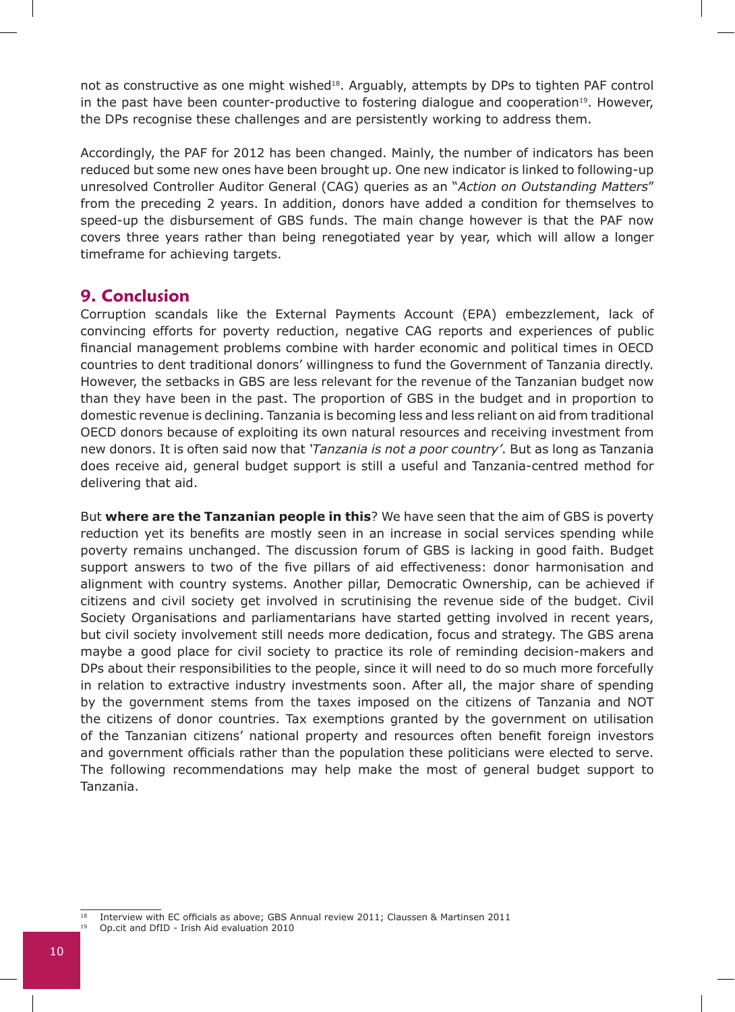not as constructive as one might wished<sup>18</sup>. Arguably, attempts by DPs to tighten PAF control in the past have been counter-productive to fostering dialogue and cooperation<sup>19</sup>. However, the DPs recognise these challenges and are persistently working to address them.

Accordingly, the PAF for 2012 has been changed. Mainly, the number of indicators has been reduced but some new ones have been brought up. One new indicator is linked to following-up unresolved Controller Auditor General (CAG) queries as an "*Action on Outstanding Matters*" from the preceding 2 years. In addition, donors have added a condition for themselves to speed-up the disbursement of GBS funds. The main change however is that the PAF now covers three years rather than being renegotiated year by year, which will allow a longer timeframe for achieving targets.

## **9. Conclusion**

Corruption scandals like the External Payments Account (EPA) embezzlement, lack of convincing efforts for poverty reduction, negative CAG reports and experiences of public financial management problems combine with harder economic and political times in OECD countries to dent traditional donors' willingness to fund the Government of Tanzania directly. However, the setbacks in GBS are less relevant for the revenue of the Tanzanian budget now than they have been in the past. The proportion of GBS in the budget and in proportion to domestic revenue is declining. Tanzania is becoming less and less reliant on aid from traditional OECD donors because of exploiting its own natural resources and receiving investment from new donors. It is often said now that *'Tanzania is not a poor country'*. But as long as Tanzania does receive aid, general budget support is still a useful and Tanzania-centred method for delivering that aid.

But **where are the Tanzanian people in this**? We have seen that the aim of GBS is poverty reduction yet its benefits are mostly seen in an increase in social services spending while poverty remains unchanged. The discussion forum of GBS is lacking in good faith. Budget support answers to two of the five pillars of aid effectiveness: donor harmonisation and alignment with country systems. Another pillar, Democratic Ownership, can be achieved if citizens and civil society get involved in scrutinising the revenue side of the budget. Civil Society Organisations and parliamentarians have started getting involved in recent years, but civil society involvement still needs more dedication, focus and strategy. The GBS arena maybe a good place for civil society to practice its role of reminding decision-makers and DPs about their responsibilities to the people, since it will need to do so much more forcefully in relation to extractive industry investments soon. After all, the major share of spending by the government stems from the taxes imposed on the citizens of Tanzania and NOT the citizens of donor countries. Tax exemptions granted by the government on utilisation of the Tanzanian citizens' national property and resources often benefit foreign investors and government officials rather than the population these politicians were elected to serve. The following recommendations may help make the most of general budget support to Tanzania.

<sup>&</sup>lt;sup>18</sup> Interview with EC officials as above; GBS Annual review 2011; Claussen & Martinsen 2011

<sup>19</sup> Op.cit and DfID - Irish Aid evaluation 2010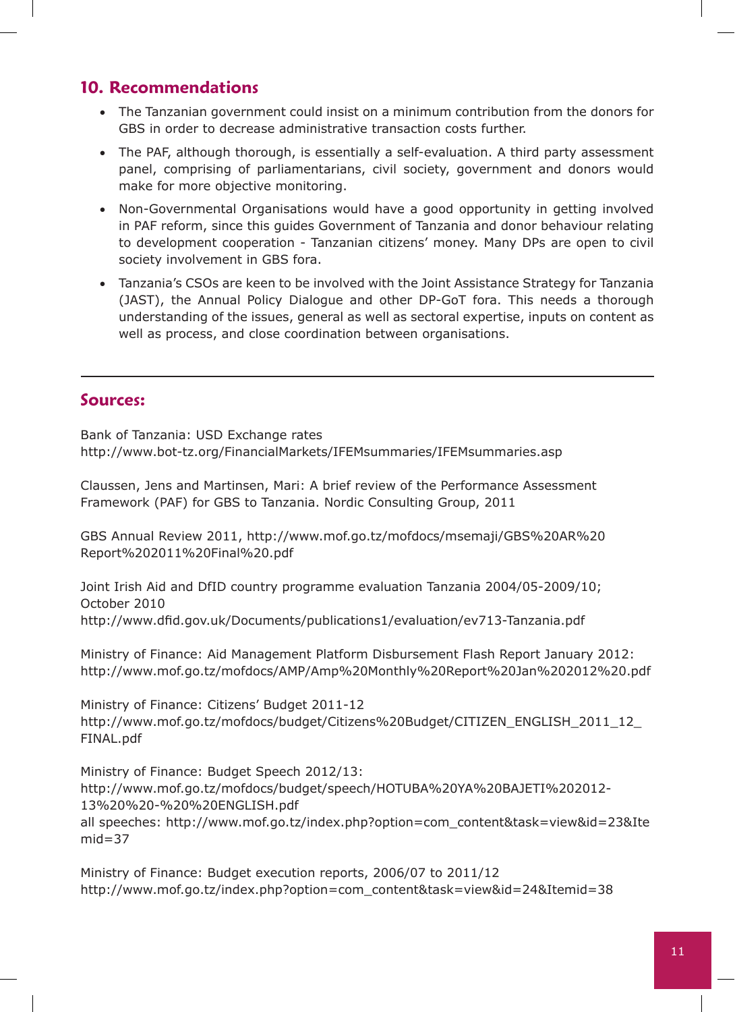## **10. Recommendations**

- The Tanzanian government could insist on a minimum contribution from the donors for GBS in order to decrease administrative transaction costs further.
- The PAF, although thorough, is essentially a self-evaluation. A third party assessment panel, comprising of parliamentarians, civil society, government and donors would make for more objective monitoring.
- Non-Governmental Organisations would have a good opportunity in getting involved in PAF reform, since this guides Government of Tanzania and donor behaviour relating to development cooperation - Tanzanian citizens' money. Many DPs are open to civil society involvement in GBS fora.
- Tanzania's CSOs are keen to be involved with the Joint Assistance Strategy for Tanzania (JAST), the Annual Policy Dialogue and other DP-GoT fora. This needs a thorough understanding of the issues, general as well as sectoral expertise, inputs on content as well as process, and close coordination between organisations.

## **Sources:**

Bank of Tanzania: USD Exchange rates http://www.bot-tz.org/FinancialMarkets/IFEMsummaries/IFEMsummaries.asp

Claussen, Jens and Martinsen, Mari: A brief review of the Performance Assessment Framework (PAF) for GBS to Tanzania. Nordic Consulting Group, 2011

GBS Annual Review 2011, http://www.mof.go.tz/mofdocs/msemaji/GBS%20AR%20 Report%202011%20Final%20.pdf

Joint Irish Aid and DfID country programme evaluation Tanzania 2004/05-2009/10; October 2010 http://www.dfid.gov.uk/Documents/publications1/evaluation/ev713-Tanzania.pdf

Ministry of Finance: Aid Management Platform Disbursement Flash Report January 2012: http://www.mof.go.tz/mofdocs/AMP/Amp%20Monthly%20Report%20Jan%202012%20.pdf

Ministry of Finance: Citizens' Budget 2011-12 http://www.mof.go.tz/mofdocs/budget/Citizens%20Budget/CITIZEN\_ENGLISH\_2011\_12\_ FINAL.pdf

Ministry of Finance: Budget Speech 2012/13: http://www.mof.go.tz/mofdocs/budget/speech/HOTUBA%20YA%20BAJETI%202012- 13%20%20-%20%20ENGLISH.pdf all speeches: http://www.mof.go.tz/index.php?option=com\_content&task=view&id=23&Ite  $mid=37$ 

Ministry of Finance: Budget execution reports, 2006/07 to 2011/12 http://www.mof.go.tz/index.php?option=com\_content&task=view&id=24&Itemid=38